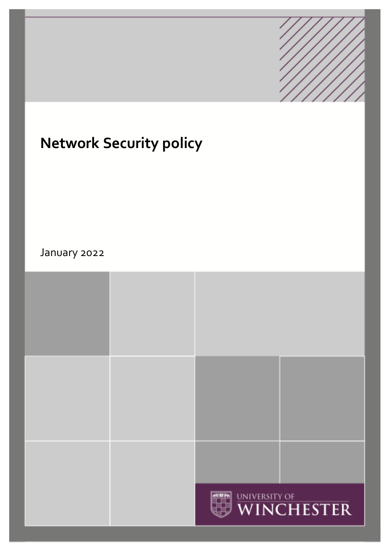

# **Network Security policy**

January 2022

|  | WINCHESTER |  |
|--|------------|--|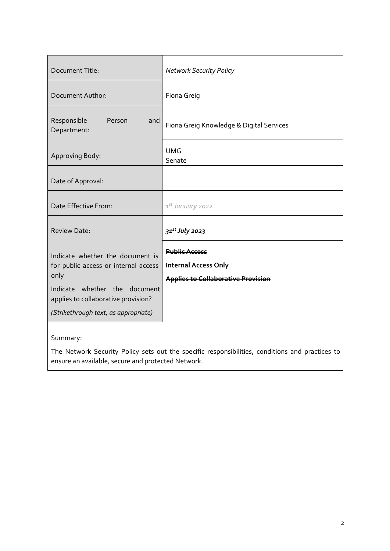| Document Title:                                                                                                                                                                                  | <b>Network Security Policy</b>                                                                   |
|--------------------------------------------------------------------------------------------------------------------------------------------------------------------------------------------------|--------------------------------------------------------------------------------------------------|
| Document Author:                                                                                                                                                                                 | Fiona Greig                                                                                      |
| Responsible<br>Person<br>and<br>Department:                                                                                                                                                      | Fiona Greig Knowledge & Digital Services                                                         |
| Approving Body:                                                                                                                                                                                  | <b>UMG</b><br>Senate                                                                             |
| Date of Approval:                                                                                                                                                                                |                                                                                                  |
| Date Effective From:                                                                                                                                                                             | 1st January 2022                                                                                 |
| <b>Review Date:</b>                                                                                                                                                                              | $31^{st}$ July 2023                                                                              |
| Indicate whether the document is<br>for public access or internal access<br>only<br>Indicate whether the document<br>applies to collaborative provision?<br>(Strikethrough text, as appropriate) | <b>Public Access</b><br><b>Internal Access Only</b><br><b>Applies to Collaborative Provision</b> |
|                                                                                                                                                                                                  |                                                                                                  |

Summary:

The Network Security Policy sets out the specific responsibilities, conditions and practices to ensure an available, secure and protected Network.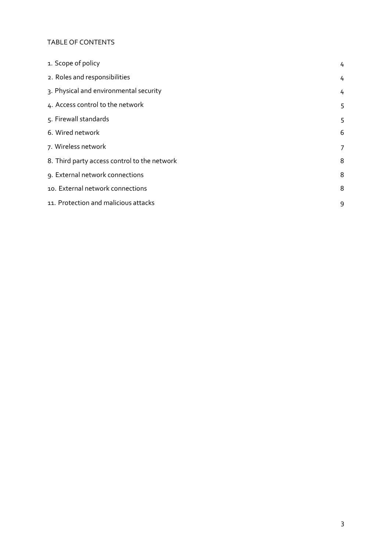#### TABLE OF CONTENTS

| 1. Scope of policy                           | 4 |
|----------------------------------------------|---|
| 2. Roles and responsibilities                | 4 |
| 3. Physical and environmental security       | 4 |
| 4. Access control to the network             | 5 |
| 5. Firewall standards                        | 5 |
| 6. Wired network                             | 6 |
| 7. Wireless network                          | 7 |
| 8. Third party access control to the network | 8 |
| 9. External network connections              | 8 |
| 10. External network connections             | 8 |
| 11. Protection and malicious attacks         | 9 |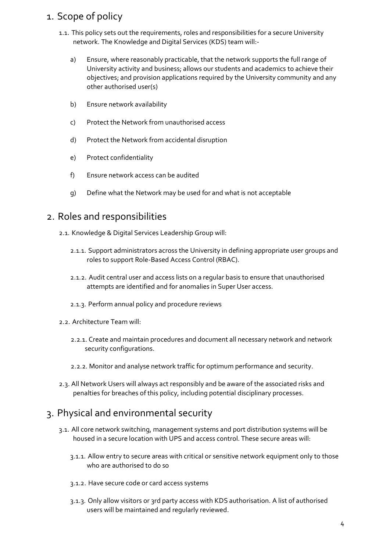# <span id="page-3-0"></span>1. Scope of policy

- 1.1. This policy sets out the requirements, roles and responsibilities for a secure University network. The Knowledge and Digital Services (KDS) team will:
	- a) Ensure, where reasonably practicable, that the network supports the full range of University activity and business; allows our students and academics to achieve their objectives; and provision applications required by the University community and any other authorised user(s)
	- b) Ensure network availability
	- c) Protect the Network from unauthorised access
	- d) Protect the Network from accidental disruption
	- e) Protect confidentiality
	- f) Ensure network access can be audited
	- g) Define what the Network may be used for and what is not acceptable

#### <span id="page-3-1"></span>2. Roles and responsibilities

- 2.1. Knowledge & Digital Services Leadership Group will:
	- 2.1.1. Support administrators across the University in defining appropriate user groups and roles to support Role-Based Access Control (RBAC).
	- 2.1.2. Audit central user and access lists on a regular basis to ensure that unauthorised attempts are identified and for anomalies in Super User access.
	- 2.1.3. Perform annual policy and procedure reviews
- 2.2. Architecture Team will:
	- 2.2.1. Create and maintain procedures and document all necessary network and network security configurations.
	- 2.2.2. Monitor and analyse network traffic for optimum performance and security.
- 2.3. All Network Users will always act responsibly and be aware of the associated risks and penalties for breaches of this policy, including potential disciplinary processes.

# <span id="page-3-2"></span>3. Physical and environmental security

- 3.1. All core network switching, management systems and port distribution systems will be housed in a secure location with UPS and access control. These secure areas will:
	- 3.1.1. Allow entry to secure areas with critical or sensitive network equipment only to those who are authorised to do so
	- 3.1.2. Have secure code or card access systems
	- 3.1.3. Only allow visitors or 3rd party access with KDS authorisation. A list of authorised users will be maintained and regularly reviewed.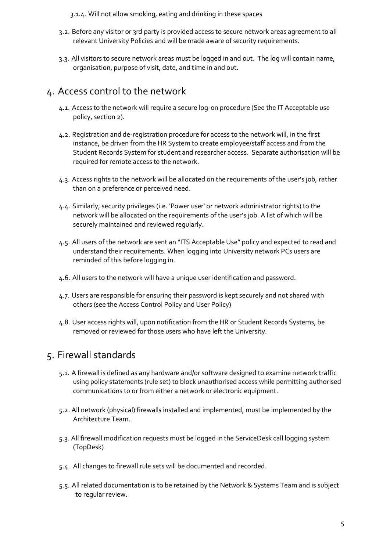3.1.4. Will not allow smoking, eating and drinking in these spaces

- 3.2. Before any visitor or 3rd party is provided access to secure network areas agreement to all relevant University Policies and will be made aware of security requirements.
- 3.3. All visitors to secure network areas must be logged in and out. The log will contain name, organisation, purpose of visit, date, and time in and out.

### <span id="page-4-0"></span>4. Access control to the network

- 4.1. Access to the network will require a secure log-on procedure (See the IT Acceptable use policy, section 2).
- 4.2. Registration and de-registration procedure for access to the network will, in the first instance, be driven from the HR System to create employee/staff access and from the Student Records System for student and researcher access. Separate authorisation will be required for remote access to the network.
- 4.3. Access rights to the network will be allocated on the requirements of the user's job, rather than on a preference or perceived need.
- 4.4. Similarly, security privileges (i.e. 'Power user' or network administrator rights) to the network will be allocated on the requirements of the user's job. A list of which will be securely maintained and reviewed regularly.
- 4.5. All users of the network are sent an "ITS Acceptable Use" policy and expected to read and understand their requirements. When logging into University network PCs users are reminded of this before logging in.
- 4.6. All users to the network will have a unique user identification and password.
- 4.7. Users are responsible for ensuring their password is kept securely and not shared with others (see the Access Control Policy and User Policy)
- 4.8. User access rights will, upon notification from the HR or Student Records Systems, be removed or reviewed for those users who have left the University.

# <span id="page-4-1"></span>5. Firewall standards

- 5.1. A firewall is defined as any hardware and/or software designed to examine network traffic using policy statements (rule set) to block unauthorised access while permitting authorised communications to or from either a network or electronic equipment.
- 5.2. All network (physical) firewalls installed and implemented, must be implemented by the Architecture Team.
- 5.3. All firewall modification requests must be logged in the ServiceDesk call logging system (TopDesk)
- 5.4. All changes to firewall rule sets will be documented and recorded.
- 5.5. All related documentation is to be retained by the Network & Systems Team and is subject to regular review.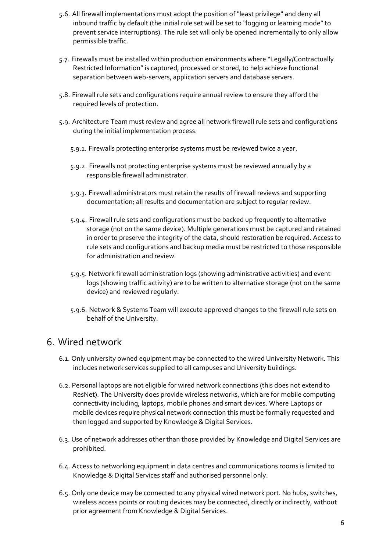- 5.6. All firewall implementations must adopt the position of "least privilege" and deny all inbound traffic by default (the initial rule set will be set to "logging or learning mode" to prevent service interruptions). The rule set will only be opened incrementally to only allow permissible traffic.
- 5.7. Firewalls must be installed within production environments where "Legally/Contractually Restricted Information" is captured, processed or stored, to help achieve functional separation between web-servers, application servers and database servers.
- 5.8. Firewall rule sets and configurations require annual review to ensure they afford the required levels of protection.
- 5.9. Architecture Team must review and agree all network firewall rule sets and configurations during the initial implementation process.
	- 5.9.1. Firewalls protecting enterprise systems must be reviewed twice a year.
	- 5.9.2. Firewalls not protecting enterprise systems must be reviewed annually by a responsible firewall administrator.
	- 5.9.3. Firewall administrators must retain the results of firewall reviews and supporting documentation; all results and documentation are subject to regular review.
	- 5.9.4. Firewall rule sets and configurations must be backed up frequently to alternative storage (not on the same device). Multiple generations must be captured and retained in order to preserve the integrity of the data, should restoration be required. Access to rule sets and configurations and backup media must be restricted to those responsible for administration and review.
	- 5.9.5. Network firewall administration logs (showing administrative activities) and event logs (showing traffic activity) are to be written to alternative storage (not on the same device) and reviewed regularly.
	- 5.9.6. Network & Systems Team will execute approved changes to the firewall rule sets on behalf of the University.

# <span id="page-5-0"></span>6. Wired network

- 6.1. Only university owned equipment may be connected to the wired University Network. This includes network services supplied to all campuses and University buildings.
- 6.2. Personal laptops are not eligible for wired network connections (this does not extend to ResNet). The University does provide wireless networks, which are for mobile computing connectivity including; laptops, mobile phones and smart devices. Where Laptops or mobile devices require physical network connection this must be formally requested and then logged and supported by Knowledge & Digital Services.
- 6.3. Use of network addresses other than those provided by Knowledge and Digital Services are prohibited.
- 6.4. Access to networking equipment in data centres and communications rooms is limited to Knowledge & Digital Services staff and authorised personnel only.
- 6.5. Only one device may be connected to any physical wired network port. No hubs, switches, wireless access points or routing devices may be connected, directly or indirectly, without prior agreement from Knowledge & Digital Services.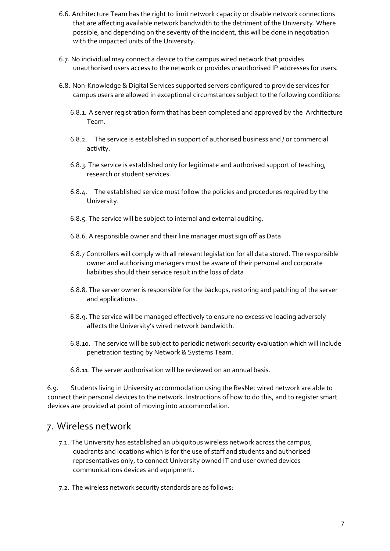- 6.6. Architecture Team has the right to limit network capacity or disable network connections that are affecting available network bandwidth to the detriment of the University. Where possible, and depending on the severity of the incident, this will be done in negotiation with the impacted units of the University.
- 6.7. No individual may connect a device to the campus wired network that provides unauthorised users access to the network or provides unauthorised IP addresses for users.
- 6.8. Non-Knowledge & Digital Services supported servers configured to provide services for campus users are allowed in exceptional circumstances subject to the following conditions:
	- 6.8.1. A server registration form that has been completed and approved by the Architecture Team.
	- 6.8.2. The service is established in support of authorised business and / or commercial activity.
	- 6.8.3. The service is established only for legitimate and authorised support of teaching, research or student services.
	- 6.8.4. The established service must follow the policies and procedures required by the University.
	- 6.8.5. The service will be subject to internal and external auditing.
	- 6.8.6. A responsible owner and their line manager must sign off as Data
	- 6.8.7 Controllers will comply with all relevant legislation for all data stored. The responsible owner and authorising managers must be aware of their personal and corporate liabilities should their service result in the loss of data
	- 6.8.8. The server owner is responsible for the backups, restoring and patching of the server and applications.
	- 6.8.9. The service will be managed effectively to ensure no excessive loading adversely affects the University's wired network bandwidth.
	- 6.8.10. The service will be subject to periodic network security evaluation which will include penetration testing by Network & Systems Team.
	- 6.8.11. The server authorisation will be reviewed on an annual basis.

6.9. Students living in University accommodation using the ResNet wired network are able to connect their personal devices to the network. Instructions of how to do this, and to register smart devices are provided at point of moving into accommodation.

#### <span id="page-6-0"></span>7. Wireless network

- 7.1. The University has established an ubiquitous wireless network across the campus, quadrants and locations which is for the use of staff and students and authorised representatives only, to connect University owned IT and user owned devices communications devices and equipment.
- 7.2. The wireless network security standards are as follows: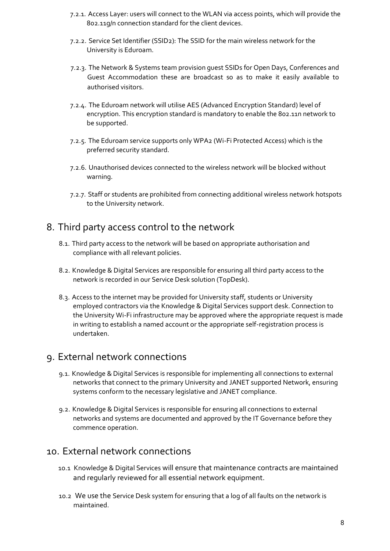- 7.2.1. Access Layer: users will connect to the WLAN via access points, which will provide the 802.11g/n connection standard for the client devices.
- 7.2.2. Service Set Identifier (SSID2): The SSID for the main wireless network for the University is Eduroam.
- 7.2.3. The Network & Systems team provision guest SSIDs for Open Days, Conferences and Guest Accommodation these are broadcast so as to make it easily available to authorised visitors.
- 7.2.4. The Eduroam network will utilise AES (Advanced Encryption Standard) level of encryption. This encryption standard is mandatory to enable the 802.11n network to be supported.
- 7.2.5. The Eduroam service supports only WPA2 (Wi-Fi Protected Access) which is the preferred security standard.
- 7.2.6. Unauthorised devices connected to the wireless network will be blocked without warning.
- 7.2.7. Staff or students are prohibited from connecting additional wireless network hotspots to the University network.

# <span id="page-7-0"></span>8. Third party access control to the network

- 8.1. Third party access to the network will be based on appropriate authorisation and compliance with all relevant policies.
- 8.2. Knowledge & Digital Services are responsible for ensuring all third party access to the network is recorded in our Service Desk solution (TopDesk).
- 8.3. Access to the internet may be provided for University staff, students or University employed contractors via the Knowledge & Digital Services support desk. Connection to the University Wi-Fi infrastructure may be approved where the appropriate request is made in writing to establish a named account or the appropriate self-registration process is undertaken.

### <span id="page-7-1"></span>9. External network connections

- 9.1. Knowledge & Digital Services is responsible for implementing all connections to external networks that connect to the primary University and JANET supported Network, ensuring systems conform to the necessary legislative and JANET compliance.
- 9.2. Knowledge & Digital Services is responsible for ensuring all connections to external networks and systems are documented and approved by the IT Governance before they commence operation.

#### <span id="page-7-2"></span>10. External network connections

- 10.1 Knowledge & Digital Services will ensure that maintenance contracts are maintained and regularly reviewed for all essential network equipment.
- 10.2 We use the Service Desk system for ensuring that a log of all faults on the network is maintained.